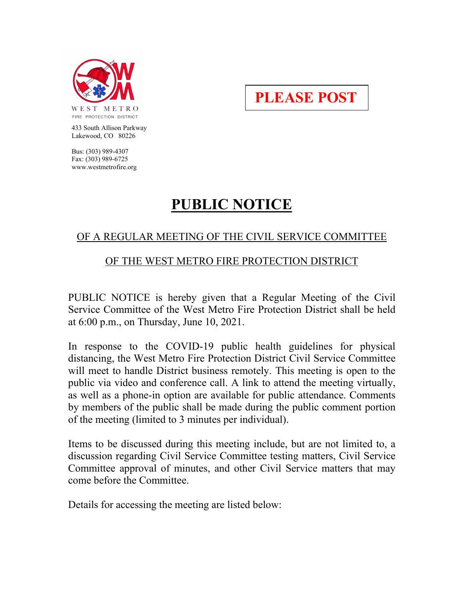

**PLEASE POST**

 433 South Allison Parkway Lakewood, CO 80226

 Bus: (303) 989-4307 Fax: (303) 989-6725 www.westmetrofire.org

# **PUBLIC NOTICE**

## OF A REGULAR MEETING OF THE CIVIL SERVICE COMMITTEE

#### OF THE WEST METRO FIRE PROTECTION DISTRICT

PUBLIC NOTICE is hereby given that a Regular Meeting of the Civil Service Committee of the West Metro Fire Protection District shall be held at 6:00 p.m., on Thursday, June 10, 2021.

In response to the COVID-19 public health guidelines for physical distancing, the West Metro Fire Protection District Civil Service Committee will meet to handle District business remotely. This meeting is open to the public via video and conference call. A link to attend the meeting virtually, as well as a phone-in option are available for public attendance. Comments by members of the public shall be made during the public comment portion of the meeting (limited to 3 minutes per individual).

Items to be discussed during this meeting include, but are not limited to, a discussion regarding Civil Service Committee testing matters, Civil Service Committee approval of minutes, and other Civil Service matters that may come before the Committee.

Details for accessing the meeting are listed below: